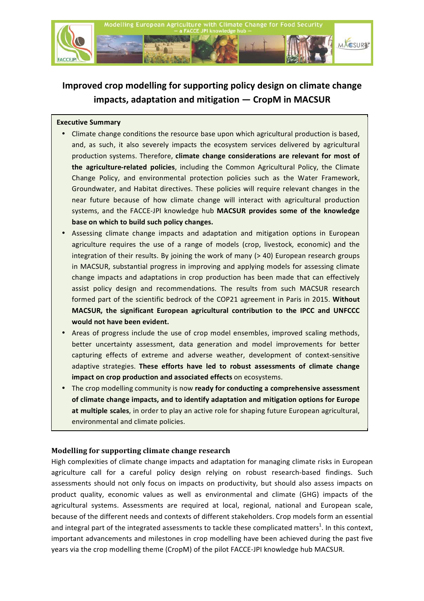

# Improved crop modelling for supporting policy design on climate change impacts, adaptation and mitigation - CropM in MACSUR

## **Executive Summary**

- Climate change conditions the resource base upon which agricultural production is based, and, as such, it also severely impacts the ecosystem services delivered by agricultural production systems. Therefore, climate change considerations are relevant for most of the agriculture-related policies, including the Common Agricultural Policy, the Climate Change Policy, and environmental protection policies such as the Water Framework, Groundwater, and Habitat directives. These policies will require relevant changes in the near future because of how climate change will interact with agricultural production systems, and the FACCE-JPI knowledge hub MACSUR provides some of the knowledge base on which to build such policy changes.
- Assessing climate change impacts and adaptation and mitigation options in European agriculture requires the use of a range of models (crop, livestock, economic) and the integration of their results. By joining the work of many  $($  > 40) European research groups in MACSUR, substantial progress in improving and applying models for assessing climate change impacts and adaptations in crop production has been made that can effectively assist policy design and recommendations. The results from such MACSUR research formed part of the scientific bedrock of the COP21 agreement in Paris in 2015. Without MACSUR, the significant European agricultural contribution to the IPCC and UNFCCC would not have been evident.
- Areas of progress include the use of crop model ensembles, improved scaling methods, better uncertainty assessment, data generation and model improvements for better capturing effects of extreme and adverse weather, development of context-sensitive adaptive strategies. These efforts have led to robust assessments of climate change impact on crop production and associated effects on ecosystems.
- The crop modelling community is now ready for conducting a comprehensive assessment of climate change impacts, and to identify adaptation and mitigation options for Europe at multiple scales, in order to play an active role for shaping future European agricultural, environmental and climate policies.

## Modelling for supporting climate change research

High complexities of climate change impacts and adaptation for managing climate risks in European agriculture call for a careful policy design relying on robust research-based findings. Such assessments should not only focus on impacts on productivity, but should also assess impacts on product quality, economic values as well as environmental and climate (GHG) impacts of the agricultural systems. Assessments are required at local, regional, national and European scale, because of the different needs and contexts of different stakeholders. Crop models form an essential and integral part of the integrated assessments to tackle these complicated matters<sup>1</sup>. In this context, important advancements and milestones in crop modelling have been achieved during the past five years via the crop modelling theme (CropM) of the pilot FACCE-JPI knowledge hub MACSUR.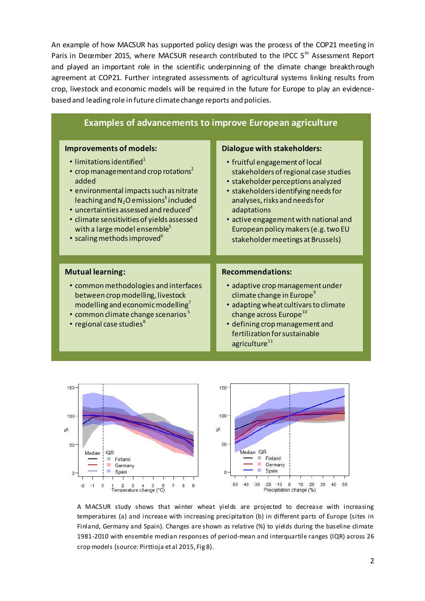An example of how MACSUR has supported policy design was the process of the COP21 meeting in Paris in December 2015, where MACSUR research contributed to the IPCC 5<sup>th</sup> Assessment Report and played an important role in the scientific underpinning of the dimate change breakthrough agreement at COP21. Further integrated assessments of agricultural systems linking results from crop, livestock and economic models will be required in the future for Europe to play an evidencebased and leading role in future climate change reports and policies.

| <b>Examples of advancements to improve European agriculture</b>                                                                                                                                                                                                                                                                                                                                                                                  |                                                                                                                                                                                                                                                                                                                                                                  |
|--------------------------------------------------------------------------------------------------------------------------------------------------------------------------------------------------------------------------------------------------------------------------------------------------------------------------------------------------------------------------------------------------------------------------------------------------|------------------------------------------------------------------------------------------------------------------------------------------------------------------------------------------------------------------------------------------------------------------------------------------------------------------------------------------------------------------|
| Improvements of models:<br>$\cdot$ limitations identified <sup>1</sup><br>• crop management and crop rotations <sup>2</sup><br>added<br>· environmental impacts such as nitrate<br>leaching and N <sub>2</sub> O emissions <sup>3</sup> included<br>$\cdot$ uncertainties assessed and reduced <sup>4</sup><br>· climate sensitivities of yields assessed<br>with a large model ensemble <sup>5</sup><br>• scaling methods improved <sup>6</sup> | <b>Dialogue with stakeholders:</b><br>• fruitful engagement of local<br>stakeholders of regional case studies<br>• stakeholder perceptions analyzed<br>• stakeholders identifying needs for<br>analyses, risks and needs for<br>adaptations<br>• active engagement with national and<br>European policy makers (e.g. two EU<br>stakeholder meetings at Brussels) |
| <b>Mutual learning:</b><br>• common methodologies and interfaces<br>between crop modelling, livestock<br>modelling and economic modelling <sup>7</sup><br>• common climate change scenarios <sup>5</sup><br>• regional case studies <sup>8</sup>                                                                                                                                                                                                 | <b>Recommendations:</b><br>· adaptive crop management under<br>climate change in Europe <sup>9</sup><br>· adapting wheat cultivars to climate<br>change across Europe <sup>10</sup><br>• defining crop management and<br>fertilization for sustainable<br>agriculture <sup>11</sup>                                                                              |



A MACSUR study shows that winter wheat yields are projected to decrease with increasing temperatures (a) and increase with increasing precipitation (b) in different parts of Europe (sites in Finland, Germany and Spain). Changes are shown as relative (%) to yields during the baseline climate 1981-2010 with ensemble median responses of period-mean and interquartile ranges (IQR) across 26 crop models (source: Pirttioja et al 2015, Fig 8).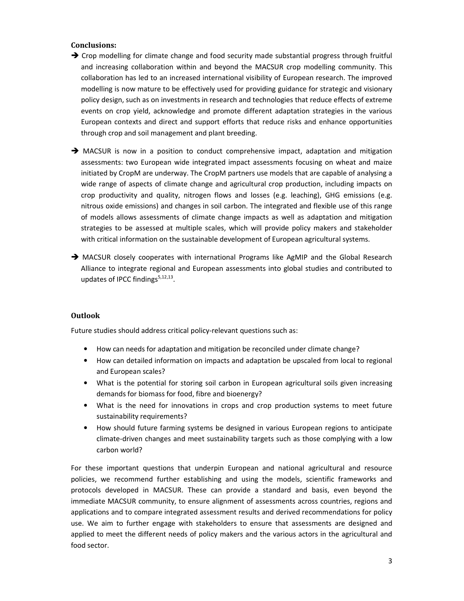#### **Conclusions:**

- $\rightarrow$  Crop modelling for climate change and food security made substantial progress through fruitful and increasing collaboration within and beyond the MACSUR crop modelling community. This collaboration has led to an increased international visibility of European research. The improved modelling is now mature to be effectively used for providing guidance for strategic and visionary policy design, such as on investments in research and technologies that reduce effects of extreme events on crop yield, acknowledge and promote different adaptation strategies in the various European contexts and direct and support efforts that reduce risks and enhance opportunities through crop and soil management and plant breeding.
- $\rightarrow$  MACSUR is now in a position to conduct comprehensive impact, adaptation and mitigation assessments: two European wide integrated impact assessments focusing on wheat and maize initiated by CropM are underway. The CropM partners use models that are capable of analysing a wide range of aspects of climate change and agricultural crop production, including impacts on crop productivity and quality, nitrogen flows and losses (e.g. leaching), GHG emissions (e.g. nitrous oxide emissions) and changes in soil carbon. The integrated and flexible use of this range of models allows assessments of climate change impacts as well as adaptation and mitigation strategies to be assessed at multiple scales, which will provide policy makers and stakeholder with critical information on the sustainable development of European agricultural systems.
- → MACSUR closely cooperates with international Programs like AgMIP and the Global Research Alliance to integrate regional and European assessments into global studies and contributed to updates of IPCC findings<sup>5,12,13</sup>.

#### **Outlook**

Future studies should address critical policy-relevant questions such as:

- How can needs for adaptation and mitigation be reconciled under climate change?
- How can detailed information on impacts and adaptation be upscaled from local to regional and European scales?
- What is the potential for storing soil carbon in European agricultural soils given increasing demands for biomass for food, fibre and bioenergy?
- What is the need for innovations in crops and crop production systems to meet future sustainability requirements?
- How should future farming systems be designed in various European regions to anticipate climate-driven changes and meet sustainability targets such as those complying with a low carbon world?

For these important questions that underpin European and national agricultural and resource policies, we recommend further establishing and using the models, scientific frameworks and protocols developed in MACSUR. These can provide a standard and basis, even beyond the immediate MACSUR community, to ensure alignment of assessments across countries, regions and applications and to compare integrated assessment results and derived recommendations for policy use. We aim to further engage with stakeholders to ensure that assessments are designed and applied to meet the different needs of policy makers and the various actors in the agricultural and food sector.